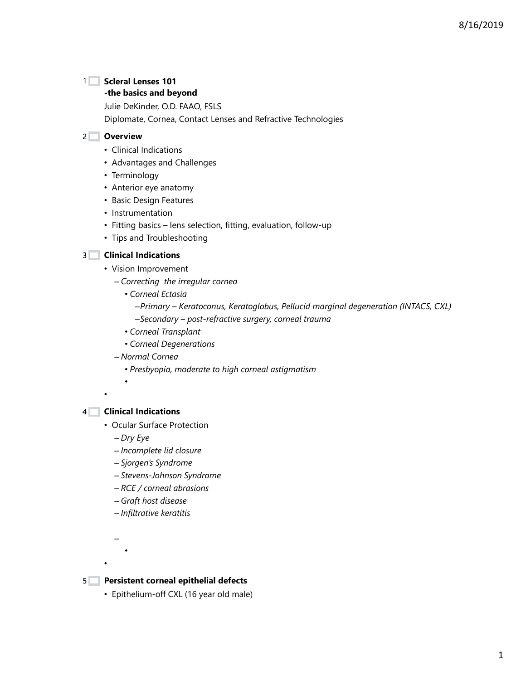### **Scleral Lenses 101** 1

#### **-the basics and beyond**

Julie DeKinder, O.D. FAAO, FSLS

Diplomate, Cornea, Contact Lenses and Refractive Technologies

#### **Overview** 2

- Clinical Indications
- Advantages and Challenges
- Terminology
- Anterior eye anatomy
- Basic Design Features
- Instrumentation
- Fitting basics lens selection, fitting, evaluation, follow-up
- Tips and Troubleshooting

#### **Clinical Indications** 3

- Vision Improvement
	- *Correcting the irregular cornea*
		- *Corneal Ectasia*
			- –*Primary Keratoconus, Keratoglobus, Pellucid marginal degeneration (INTACS, CXL)* –*Secondary – post-refractive surgery, corneal trauma*
		- *Corneal Transplant*
		- *Corneal Degenerations*
	- *Normal Cornea*
		- *Presbyopia, moderate to high corneal astigmatism*
- •

#### **Clinical Indications** 4

•

- Ocular Surface Protection
	- *Dry Eye*
	- *Incomplete lid closure*
	- *Sjorgen's Syndrome*
	- *Stevens-Johnson Syndrome*
	- *RCE / corneal abrasions*
	- *Graft host disease*
	- *Infiltrative keratitis*

•

– •

#### **Persistent corneal epithelial defects** 5

• Epithelium-off CXL (16 year old male)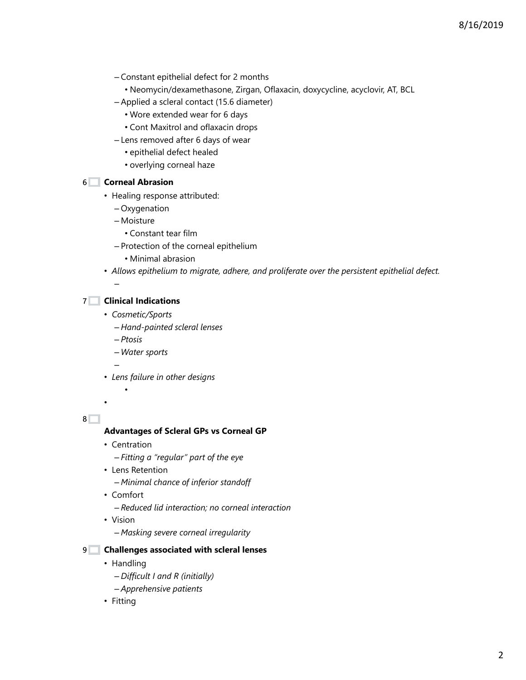- Constant epithelial defect for 2 months
	- Neomycin/dexamethasone, Zirgan, Oflaxacin, doxycycline, acyclovir, AT, BCL
- Applied a scleral contact (15.6 diameter)
	- Wore extended wear for 6 days
	- Cont Maxitrol and oflaxacin drops
- Lens removed after 6 days of wear
	- epithelial defect healed
	- overlying corneal haze

### **Corneal Abrasion** 6

- Healing response attributed:
	- Oxygenation
	- Moisture
		- Constant tear film
	- Protection of the corneal epithelium
		- Minimal abrasion
- *Allows epithelium to migrate, adhere, and proliferate over the persistent epithelial defect.*

### **Clinical Indications** 7

- *Cosmetic/Sports*
	- *Hand-painted scleral lenses*
	- *Ptosis*

•

–

–

- *Water sports*
- *Lens failure in other designs*

8<sup> $-$ </sup>

•

#### **Advantages of Scleral GPs vs Corneal GP**

- Centration
	- *Fitting a "regular" part of the eye*
- Lens Retention
	- *Minimal chance of inferior standoff*
- Comfort
	- *Reduced lid interaction; no corneal interaction*
- Vision
	- *Masking severe corneal irregularity*

#### **Challenges associated with scleral lenses** 9

- Handling
	- *Difficult I and R (initially)*
	- *Apprehensive patients*
- Fitting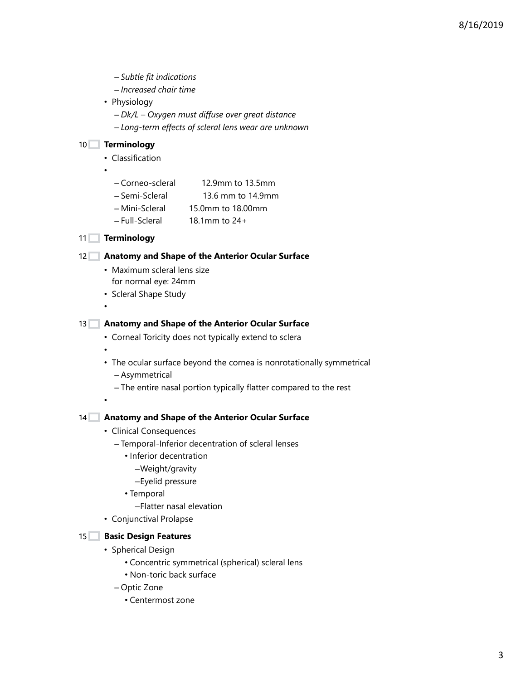- *Subtle fit indications* – *Increased chair time* • Physiology – *Dk/L – Oxygen must diffuse over great distance* – *Long-term effects of scleral lens wear are unknown* **Terminology** 10 • Classification • – Corneo-scleral 12.9mm to 13.5mm – Semi-Scleral 13.6 mm to 14.9mm – Mini-Scleral 15.0mm to 18.00mm – Full-Scleral 18.1mm to 24+ 11 Terminology **Anatomy and Shape of the Anterior Ocular Surface** 12 • Maximum scleral lens size for normal eye: 24mm • Scleral Shape Study • **Anatomy and Shape of the Anterior Ocular Surface** 13 • Corneal Toricity does not typically extend to sclera • • The ocular surface beyond the cornea is nonrotationally symmetrical – Asymmetrical – The entire nasal portion typically flatter compared to the rest • **Anatomy and Shape of the Anterior Ocular Surface** 14 • Clinical Consequences – Temporal-Inferior decentration of scleral lenses • Inferior decentration –Weight/gravity –Eyelid pressure • Temporal –Flatter nasal elevation • Conjunctival Prolapse 15<sup>1</sup> Basic Design Features • Spherical Design • Concentric symmetrical (spherical) scleral lens • Non-toric back surface – Optic Zone
	- Centermost zone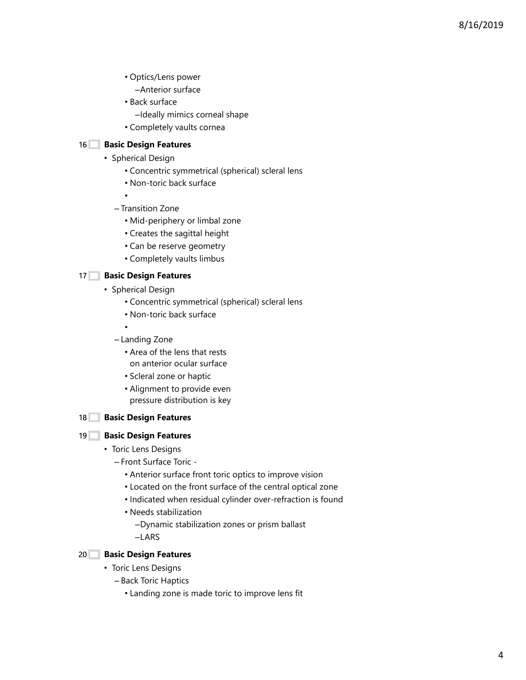- Optics/Lens power
	- –Anterior surface
- Back surface
	- –Ideally mimics corneal shape
- Completely vaults cornea

## 16 **Basic Design Features**

- Spherical Design
	- Concentric symmetrical (spherical) scleral lens
	- Non-toric back surface
	- – Transition Zone
		- Mid-periphery or limbal zone
		- Creates the sagittal height
		- Can be reserve geometry
		- Completely vaults limbus

## 17 **Basic Design Features**

- Spherical Design
	- Concentric symmetrical (spherical) scleral lens
	- Non-toric back surface

•

- Landing Zone
	- Area of the lens that rests on anterior ocular surface
	- Scleral zone or haptic
	- Alignment to provide even pressure distribution is key

## 18 **Basic Design Features**

## **Basic Design Features** 19

- Toric Lens Designs
	- Front Surface Toric
		- Anterior surface front toric optics to improve vision
		- Located on the front surface of the central optical zone
		- Indicated when residual cylinder over-refraction is found
		- Needs stabilization
			- –Dynamic stabilization zones or prism ballast
			- –LARS



- Toric Lens Designs
	- Back Toric Haptics
		- Landing zone is made toric to improve lens fit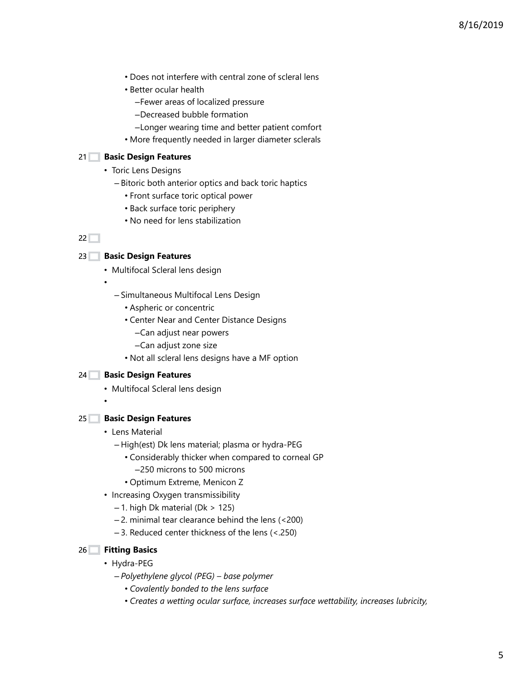- Does not interfere with central zone of scleral lens
- Better ocular health
	- –Fewer areas of localized pressure
	- –Decreased bubble formation
	- –Longer wearing time and better patient comfort
- More frequently needed in larger diameter sclerals

### **Basic Design Features** 21

- Toric Lens Designs
	- Bitoric both anterior optics and back toric haptics
		- Front surface toric optical power
		- Back surface toric periphery
		- No need for lens stabilization

## $22$

### **Basic Design Features** 23

- Multifocal Scleral lens design
- - Simultaneous Multifocal Lens Design
		- Aspheric or concentric
		- Center Near and Center Distance Designs
			- –Can adjust near powers
			- –Can adjust zone size
		- Not all scleral lens designs have a MF option

#### **Basic Design Features** 24

- Multifocal Scleral lens design
- •

#### **Basic Design Features** 25

- Lens Material
	- High(est) Dk lens material; plasma or hydra-PEG
		- Considerably thicker when compared to corneal GP
			- –250 microns to 500 microns
		- Optimum Extreme, Menicon Z
- Increasing Oxygen transmissibility
	- $-1$ . high Dk material (Dk > 125)
	- 2. minimal tear clearance behind the lens (<200)
	- 3. Reduced center thickness of the lens (<.250)

#### **Fitting Basics** 26

- Hydra-PEG
	- *Polyethylene glycol (PEG) base polymer*
		- *Covalently bonded to the lens surface*
		- *Creates a wetting ocular surface, increases surface wettability, increases lubricity,*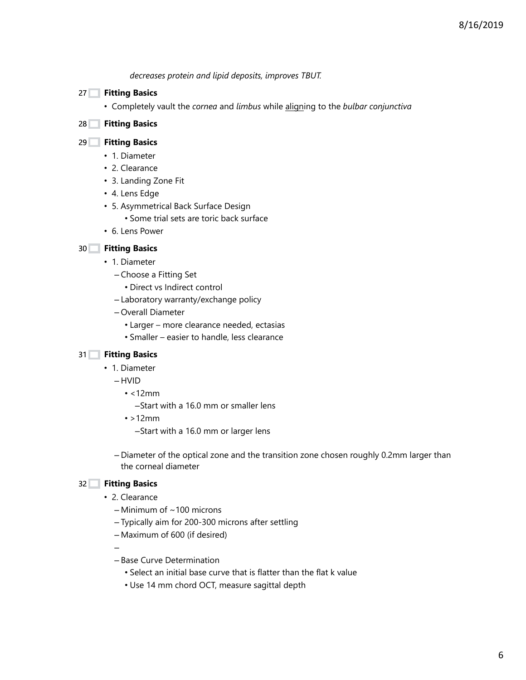*decreases protein and lipid deposits, improves TBUT.*

- **Fitting Basics** 27
	- Completely vault the *cornea* and *limbus* while aligning to the *bulbar conjunctiva*

### **Fitting Basics** 28

### **Fitting Basics** 29

- 1. Diameter
- 2. Clearance
- 3. Landing Zone Fit
- 4. Lens Edge
- 5. Asymmetrical Back Surface Design
	- Some trial sets are toric back surface
- 6. Lens Power

### **Fitting Basics** 30

- 1. Diameter
	- Choose a Fitting Set
		- Direct vs Indirect control
	- Laboratory warranty/exchange policy
	- Overall Diameter
		- Larger more clearance needed, ectasias
		- Smaller easier to handle, less clearance

## **Fitting Basics** 31

- 1. Diameter
	- HVID
		- <12mm
			- –Start with a 16.0 mm or smaller lens
		- $\cdot$  >12mm
			- –Start with a 16.0 mm or larger lens

– Diameter of the optical zone and the transition zone chosen roughly 0.2mm larger than the corneal diameter

#### **Fitting Basics** 32

- 2. Clearance
	- $-$  Minimum of  $\sim$  100 microns
	- Typically aim for 200-300 microns after settling
	- Maximum of 600 (if desired)

–

- Base Curve Determination
	- Select an initial base curve that is flatter than the flat k value
	- Use 14 mm chord OCT, measure sagittal depth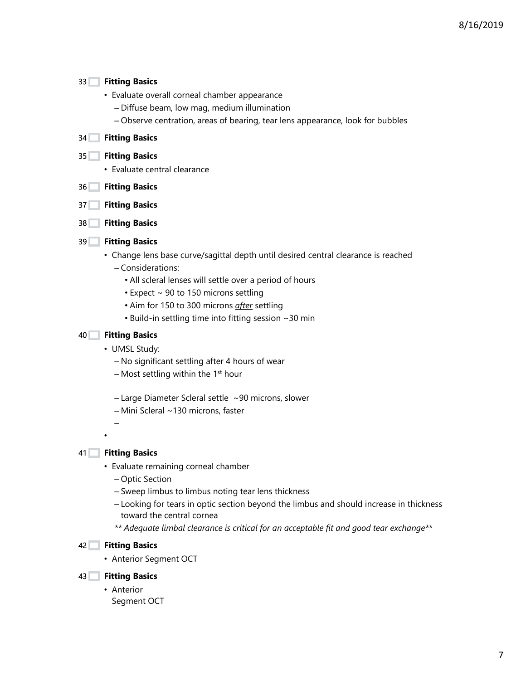#### **Fitting Basics** 33

- Evaluate overall corneal chamber appearance
	- Diffuse beam, low mag, medium illumination
	- Observe centration, areas of bearing, tear lens appearance, look for bubbles

#### **Fitting Basics** 34

#### **Fitting Basics** 35

- Evaluate central clearance
- **Fitting Basics** 36
- **Fitting Basics** 37
- **Fitting Basics** 38

### **Fitting Basics** 39

- Change lens base curve/sagittal depth until desired central clearance is reached – Considerations:
	- All scleral lenses will settle over a period of hours
	- Expect ~ 90 to 150 microns settling
	- Aim for 150 to 300 microns *after* settling
	- Build-in settling time into fitting session ~30 min

#### **Fitting Basics** 40

- UMSL Study:
	- No significant settling after 4 hours of wear
	- $-$  Most settling within the 1<sup>st</sup> hour
	- Large Diameter Scleral settle ~90 microns, slower
	- Mini Scleral ~130 microns, faster
- **Fitting Basics** 41

 $\equiv$ 

•

- Evaluate remaining corneal chamber
	- Optic Section
	- Sweep limbus to limbus noting tear lens thickness
	- Looking for tears in optic section beyond the limbus and should increase in thickness toward the central cornea
	- *\*\* Adequate limbal clearance is critical for an acceptable fit and good tear exchange\*\**

#### **Fitting Basics** 42

• Anterior Segment OCT

#### **Fitting Basics** 43

• Anterior Segment OCT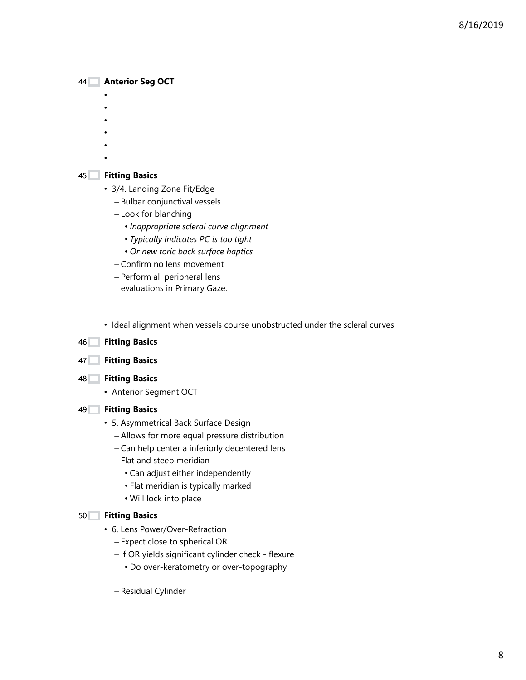## **Anterior Seg OCT** 44

- •
- •
- •
- •
- •
- •

## **Fitting Basics** 45

- 3/4. Landing Zone Fit/Edge
	- Bulbar conjunctival vessels
	- Look for blanching
		- *Inappropriate scleral curve alignment*
		- *Typically indicates PC is too tight*
		- *Or new toric back surface haptics*
	- Confirm no lens movement
	- Perform all peripheral lens evaluations in Primary Gaze.
- Ideal alignment when vessels course unobstructed under the scleral curves

## **Fitting Basics** 46

- **Fitting Basics** 47
- **Fitting Basics** 48
	- Anterior Segment OCT

## **Fitting Basics** 49

- 5. Asymmetrical Back Surface Design
	- Allows for more equal pressure distribution
	- Can help center a inferiorly decentered lens
	- Flat and steep meridian
		- Can adjust either independently
		- Flat meridian is typically marked
		- Will lock into place

## **Fitting Basics** 50

- 6. Lens Power/Over-Refraction
	- Expect close to spherical OR
	- If OR yields significant cylinder check flexure
		- Do over-keratometry or over-topography
	- Residual Cylinder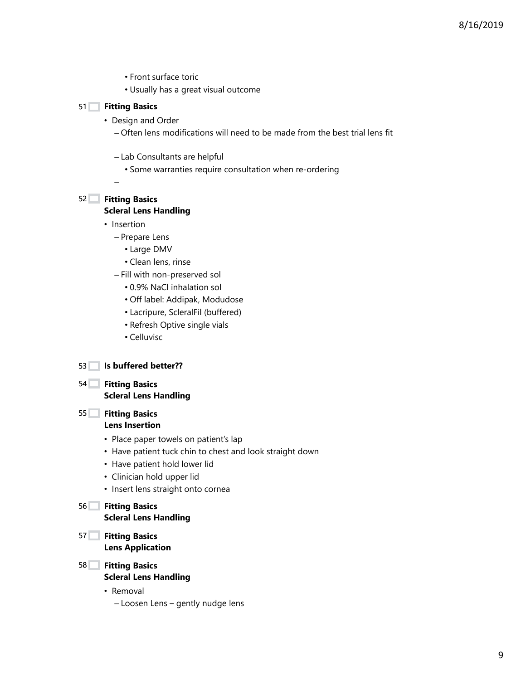- Front surface toric
- Usually has a great visual outcome

## **Fitting Basics** 51

- Design and Order
	- Often lens modifications will need to be made from the best trial lens fit
	- Lab Consultants are helpful
		- Some warranties require consultation when re-ordering

## **Fitting Basics** 52

–

### **Scleral Lens Handling**

- Insertion
	- Prepare Lens
		- Large DMV
		- Clean lens, rinse
	- Fill with non-preserved sol
		- 0.9% NaCl inhalation sol
		- Off label: Addipak, Modudose
		- Lacripure, ScleralFil (buffered)
		- Refresh Optive single vials
		- Celluvisc
- **Is buffered better??** 53
- **Fitting Basics** 54
	- **Scleral Lens Handling**

# **Fitting Basics** 55

## **Lens Insertion**

- Place paper towels on patient's lap
- Have patient tuck chin to chest and look straight down
- Have patient hold lower lid
- Clinician hold upper lid
- Insert lens straight onto cornea

#### **Fitting Basics** 56 **Scleral Lens Handling**

- **Fitting Basics** 57 **Lens Application**
- **Fitting Basics** 58
	- **Scleral Lens Handling**
	- Removal
		- Loosen Lens gently nudge lens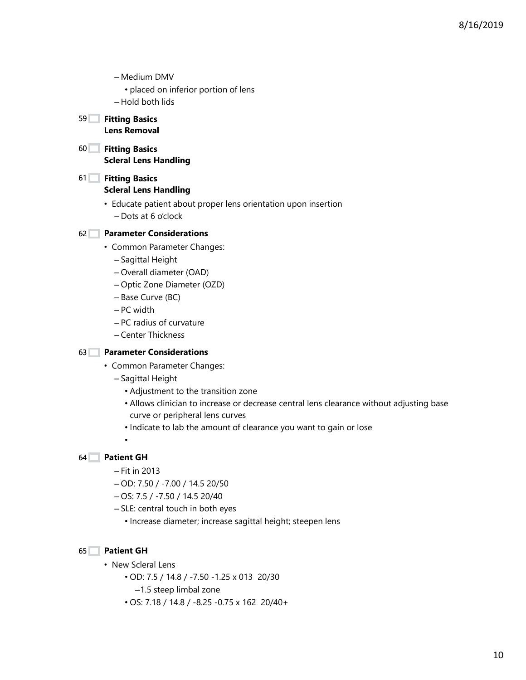– Medium DMV

• placed on inferior portion of lens

– Hold both lids

#### **Fitting Basics** 59 **Lens Removal**

- **Fitting Basics** 60 **Scleral Lens Handling**
- **Fitting Basics** 61 **Scleral Lens Handling**
	- Educate patient about proper lens orientation upon insertion – Dots at 6 o'clock

## **Parameter Considerations** 62

- Common Parameter Changes:
	- Sagittal Height
	- Overall diameter (OAD)
	- Optic Zone Diameter (OZD)
	- Base Curve (BC)
	- PC width
	- PC radius of curvature
	- Center Thickness

## **Parameter Considerations** 63

- Common Parameter Changes:
	- Sagittal Height
		- Adjustment to the transition zone
		- Allows clinician to increase or decrease central lens clearance without adjusting base curve or peripheral lens curves
		- Indicate to lab the amount of clearance you want to gain or lose

•

## **Patient GH** 64

- Fit in 2013
- OD: 7.50 / -7.00 / 14.5 20/50
- OS: 7.5 / -7.50 / 14.5 20/40
- SLE: central touch in both eyes
	- Increase diameter; increase sagittal height; steepen lens

## **Patient GH** 65

- New Scleral Lens
	- OD: 7.5 / 14.8 / -7.50 -1.25 x 013 20/30
		- –1.5 steep limbal zone
	- OS: 7.18 / 14.8 / -8.25 -0.75 x 162 20/40+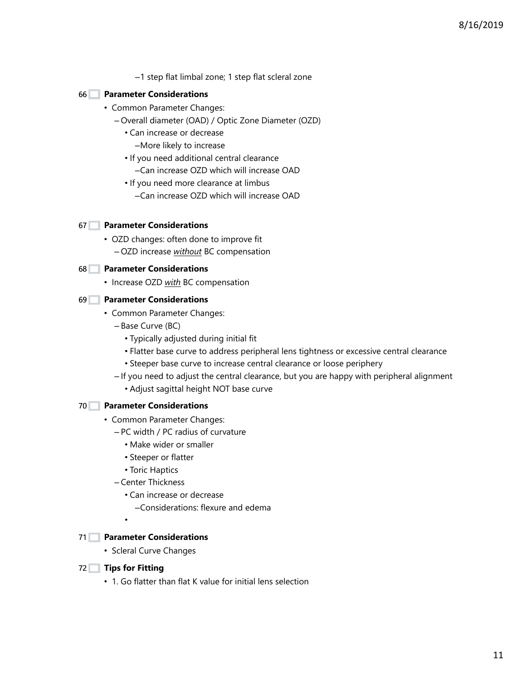–1 step flat limbal zone; 1 step flat scleral zone

## **Parameter Considerations** 66

- Common Parameter Changes:
	- Overall diameter (OAD) / Optic Zone Diameter (OZD)
		- Can increase or decrease
			- –More likely to increase
		- If you need additional central clearance –Can increase OZD which will increase OAD
		- If you need more clearance at limbus
			-
			- –Can increase OZD which will increase OAD

#### **Parameter Considerations** 67

• OZD changes: often done to improve fit – OZD increase *without* BC compensation

### **Parameter Considerations** 68

• Increase OZD *with* BC compensation

### **Parameter Considerations** 69

- Common Parameter Changes:
	- Base Curve (BC)
		- Typically adjusted during initial fit
		- Flatter base curve to address peripheral lens tightness or excessive central clearance
		- Steeper base curve to increase central clearance or loose periphery
	- If you need to adjust the central clearance, but you are happy with peripheral alignment
		- Adjust sagittal height NOT base curve

#### **Parameter Considerations** 70

- Common Parameter Changes:
	- PC width / PC radius of curvature
		- Make wider or smaller
		- Steeper or flatter
		- Toric Haptics
	- Center Thickness
		- Can increase or decrease
			- –Considerations: flexure and edema
		- •

## **Parameter Considerations** 71

• Scleral Curve Changes

#### **Tips for Fitting** 72

• 1. Go flatter than flat K value for initial lens selection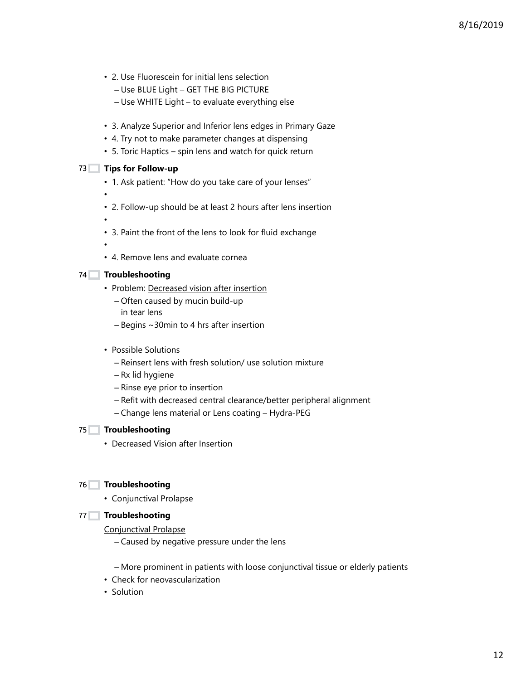8/16/2019

- 2. Use Fluorescein for initial lens selection
	- Use BLUE Light GET THE BIG PICTURE
	- Use WHITE Light to evaluate everything else
- 3. Analyze Superior and Inferior lens edges in Primary Gaze
- 4. Try not to make parameter changes at dispensing
- 5. Toric Haptics spin lens and watch for quick return

#### **Tips for Follow-up** 73

- 1. Ask patient: "How do you take care of your lenses"
- 2. Follow-up should be at least 2 hours after lens insertion
- • 3. Paint the front of the lens to look for fluid exchange
- •

•

• 4. Remove lens and evaluate cornea

### **Troubleshooting** 74

- Problem: Decreased vision after insertion
	- Often caused by mucin build-up in tear lens
	- Begins ~30min to 4 hrs after insertion
- Possible Solutions
	- Reinsert lens with fresh solution/ use solution mixture
	- Rx lid hygiene
	- Rinse eye prior to insertion
	- Refit with decreased central clearance/better peripheral alignment
	- Change lens material or Lens coating Hydra-PEG

## **Troubleshooting** 75

• Decreased Vision after Insertion

## **Troubleshooting** 76

• Conjunctival Prolapse

## **Troubleshooting** 77

#### Conjunctival Prolapse

- Caused by negative pressure under the lens
- More prominent in patients with loose conjunctival tissue or elderly patients
- Check for neovascularization
- Solution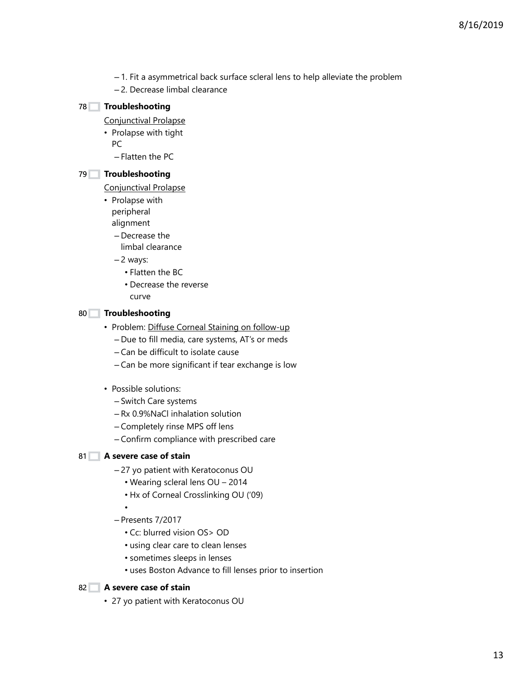- 1. Fit a asymmetrical back surface scleral lens to help alleviate the problem
- 2. Decrease limbal clearance

## **Troubleshooting** 78

Conjunctival Prolapse

• Prolapse with tight

PC

– Flatten the PC

## **Troubleshooting** 79

Conjunctival Prolapse

• Prolapse with peripheral alignment

– Decrease the

limbal clearance

– 2 ways:

- Flatten the BC
- Decrease the reverse
- curve

## **Troubleshooting** 80

- Problem: Diffuse Corneal Staining on follow-up
	- Due to fill media, care systems, AT's or meds
	- Can be difficult to isolate cause
	- Can be more significant if tear exchange is low
- Possible solutions:
	- Switch Care systems
	- Rx 0.9%NaCl inhalation solution
	- Completely rinse MPS off lens
	- Confirm compliance with prescribed care

## **A severe case of stain** 81

- 27 yo patient with Keratoconus OU
	- Wearing scleral lens OU 2014
	- Hx of Corneal Crosslinking OU ('09)
- – Presents 7/2017
	- Cc: blurred vision OS> OD
	- using clear care to clean lenses
	- sometimes sleeps in lenses
	- uses Boston Advance to fill lenses prior to insertion

## **A severe case of stain** 82

• 27 yo patient with Keratoconus OU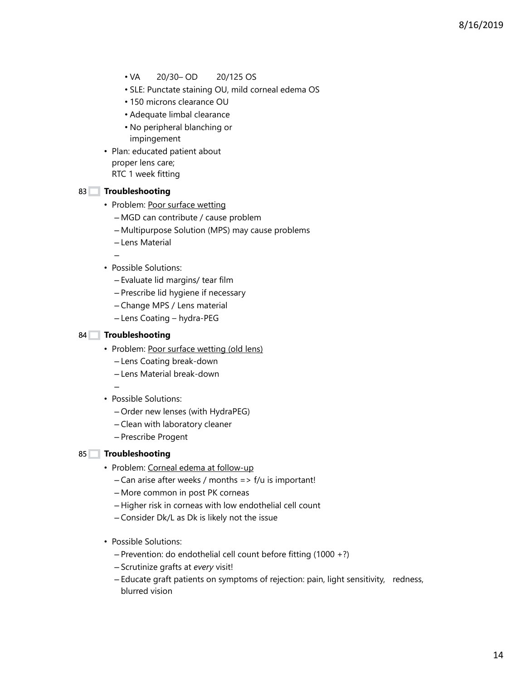- VA 20/30– OD 20/125 OS
- SLE: Punctate staining OU, mild corneal edema OS
- 150 microns clearance OU
- Adequate limbal clearance
- No peripheral blanching or impingement
- Plan: educated patient about proper lens care; RTC 1 week fitting

### **Troubleshooting** 83

–

- Problem: Poor surface wetting
	- MGD can contribute / cause problem
	- Multipurpose Solution (MPS) may cause problems
	- Lens Material
- Possible Solutions:
	- Evaluate lid margins/ tear film
	- Prescribe lid hygiene if necessary
	- Change MPS / Lens material
	- Lens Coating hydra-PEG

#### **Troubleshooting** 84

- Problem: Poor surface wetting (old lens)
	- Lens Coating break-down
	- Lens Material break-down
	- –
- Possible Solutions:
	- Order new lenses (with HydraPEG)
	- Clean with laboratory cleaner
	- Prescribe Progent

#### **Troubleshooting** 85

- Problem: Corneal edema at follow-up
	- $-$  Can arise after weeks / months => f/u is important!
	- More common in post PK corneas
	- Higher risk in corneas with low endothelial cell count
	- Consider Dk/L as Dk is likely not the issue
- Possible Solutions:
	- Prevention: do endothelial cell count before fitting (1000 +?)
	- Scrutinize grafts at *every* visit!
	- Educate graft patients on symptoms of rejection: pain, light sensitivity, redness, blurred vision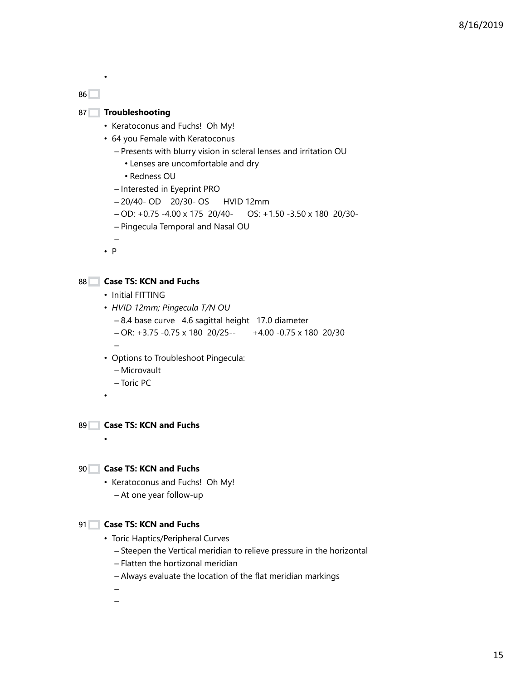86

•

## 87 Troubleshooting

- Keratoconus and Fuchs! Oh My!
- 64 you Female with Keratoconus
	- Presents with blurry vision in scleral lenses and irritation OU
		- Lenses are uncomfortable and dry
		- Redness OU
	- Interested in Eyeprint PRO
	- 20/40- OD 20/30- OS HVID 12mm
	- OD: +0.75 -4.00 x 175 20/40- OS: +1.50 -3.50 x 180 20/30-
	- Pingecula Temporal and Nasal OU

– • P

## **Case TS: KCN and Fuchs** 88

- Initial FITTING
- *HVID 12mm; Pingecula T/N OU*
	- 8.4 base curve 4.6 sagittal height 17.0 diameter
	- OR: +3.75 -0.75 x 180 20/25-- +4.00 -0.75 x 180 20/30
- Options to Troubleshoot Pingecula:
	- Microvault
	- Toric PC
- •

–

**Case TS: KCN and Fuchs** 89

•

## **Case TS: KCN and Fuchs** 90

- Keratoconus and Fuchs! Oh My!
	- At one year follow-up

## **Case TS: KCN and Fuchs** 91

- Toric Haptics/Peripheral Curves
	- Steepen the Vertical meridian to relieve pressure in the horizontal
	- Flatten the hortizonal meridian
	- Always evaluate the location of the flat meridian markings
	- –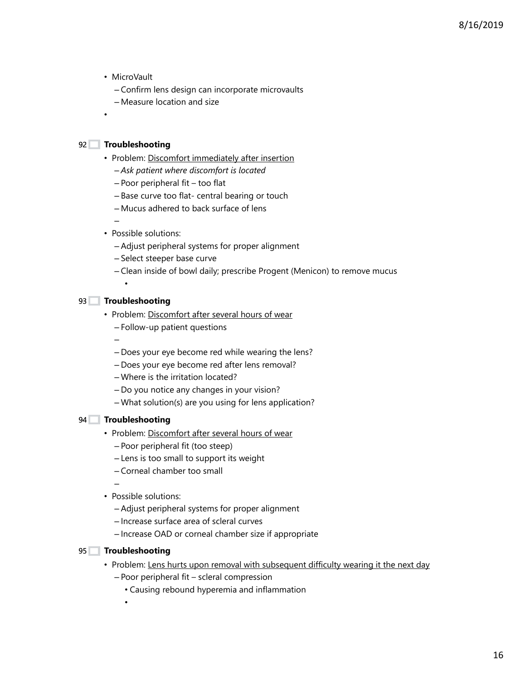- MicroVault
	- Confirm lens design can incorporate microvaults
	- Measure location and size
- 

•

#### **Troubleshooting** 92

- Problem: Discomfort immediately after insertion
	- *Ask patient where discomfort is located*
	- Poor peripheral fit too flat
	- Base curve too flat- central bearing or touch
	- Mucus adhered to back surface of lens
	- –
- Possible solutions:
	- Adjust peripheral systems for proper alignment
	- Select steeper base curve
	- Clean inside of bowl daily; prescribe Progent (Menicon) to remove mucus
- 
- **Troubleshooting** 93

•

–

- Problem: Discomfort after several hours of wear
	- Follow-up patient questions
	- Does your eye become red while wearing the lens?
	- Does your eye become red after lens removal?
	- Where is the irritation located?
	- Do you notice any changes in your vision?
	- What solution(s) are you using for lens application?

#### **Troubleshooting** 94

- Problem: Discomfort after several hours of wear
	- Poor peripheral fit (too steep)
	- Lens is too small to support its weight
	- Corneal chamber too small

–

- Possible solutions:
	- Adjust peripheral systems for proper alignment
	- Increase surface area of scleral curves
	- Increase OAD or corneal chamber size if appropriate

#### **Troubleshooting** 95

- Problem: Lens hurts upon removal with subsequent difficulty wearing it the next day
	- Poor peripheral fit scleral compression
		- Causing rebound hyperemia and inflammation
		- •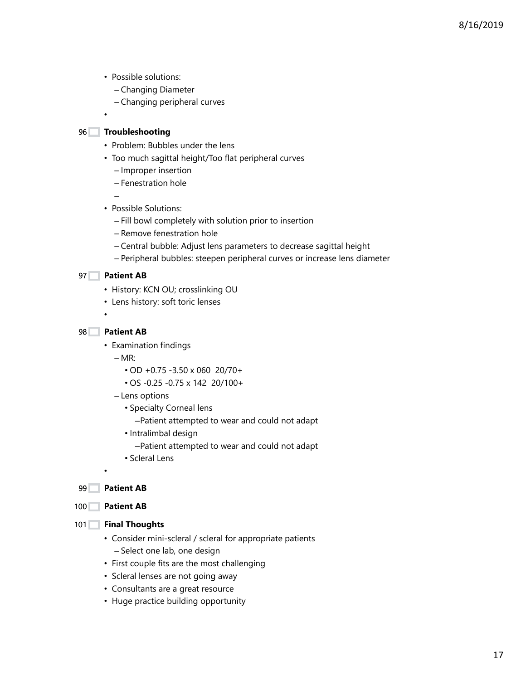- Possible solutions:
	- Changing Diameter
	- Changing peripheral curves

## **Troubleshooting** 96

•

- Problem: Bubbles under the lens
- Too much sagittal height/Too flat peripheral curves
	- Improper insertion
	- Fenestration hole
- Possible Solutions:
	- Fill bowl completely with solution prior to insertion
	- Remove fenestration hole
	- Central bubble: Adjust lens parameters to decrease sagittal height
	- Peripheral bubbles: steepen peripheral curves or increase lens diameter

### **Patient AB** 97

–

- History: KCN OU; crosslinking OU
- Lens history: soft toric lenses
- •

### **Patient AB** 98

• Examination findings

 $-MR$ :

- OD +0.75 -3.50 x 060 20/70+
- OS -0.25 -0.75 x 142 20/100+
- Lens options
	- Specialty Corneal lens
		- –Patient attempted to wear and could not adapt
	- Intralimbal design
		- –Patient attempted to wear and could not adapt
	- Scleral Lens
- **Patient AB** 99

•

#### 100 **Patient AB**

- **Final Thoughts** 101
	- Consider mini-scleral / scleral for appropriate patients – Select one lab, one design
	- First couple fits are the most challenging
	- Scleral lenses are not going away
	- Consultants are a great resource
	- Huge practice building opportunity